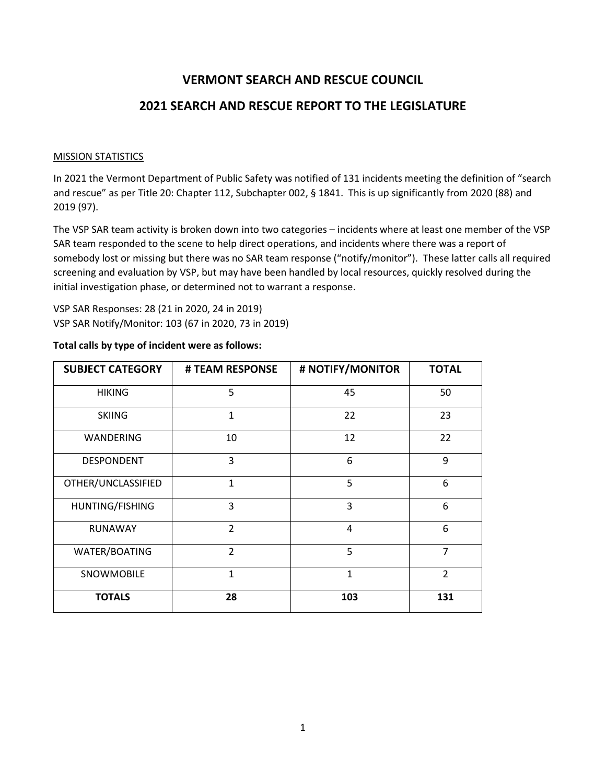# **VERMONT SEARCH AND RESCUE COUNCIL**

# **2021 SEARCH AND RESCUE REPORT TO THE LEGISLATURE**

#### MISSION STATISTICS

In 2021 the Vermont Department of Public Safety was notified of 131 incidents meeting the definition of "search and rescue" as per Title 20: Chapter 112, Subchapter 002, § 1841. This is up significantly from 2020 (88) and 2019 (97).

The VSP SAR team activity is broken down into two categories – incidents where at least one member of the VSP SAR team responded to the scene to help direct operations, and incidents where there was a report of somebody lost or missing but there was no SAR team response ("notify/monitor"). These latter calls all required screening and evaluation by VSP, but may have been handled by local resources, quickly resolved during the initial investigation phase, or determined not to warrant a response.

VSP SAR Responses: 28 (21 in 2020, 24 in 2019) VSP SAR Notify/Monitor: 103 (67 in 2020, 73 in 2019)

| <b>SUBJECT CATEGORY</b> | # TEAM RESPONSE | # NOTIFY/MONITOR | <b>TOTAL</b>   |
|-------------------------|-----------------|------------------|----------------|
| <b>HIKING</b>           | 5               | 45               | 50             |
| <b>SKIING</b>           | $\mathbf{1}$    | 22               | 23             |
| WANDERING               | 10              | 12               | 22             |
| <b>DESPONDENT</b>       | 3               | 6                | 9              |
| OTHER/UNCLASSIFIED      | $\mathbf{1}$    | 5                | 6              |
| HUNTING/FISHING         | 3               | 3                | 6              |
| <b>RUNAWAY</b>          | $\overline{2}$  | 4                | 6              |
| WATER/BOATING           | $\overline{2}$  | 5                | $\overline{7}$ |
| SNOWMOBILE              | 1               | $\mathbf{1}$     | $\overline{2}$ |
| <b>TOTALS</b>           | 28              | 103              | 131            |

#### **Total calls by type of incident were as follows:**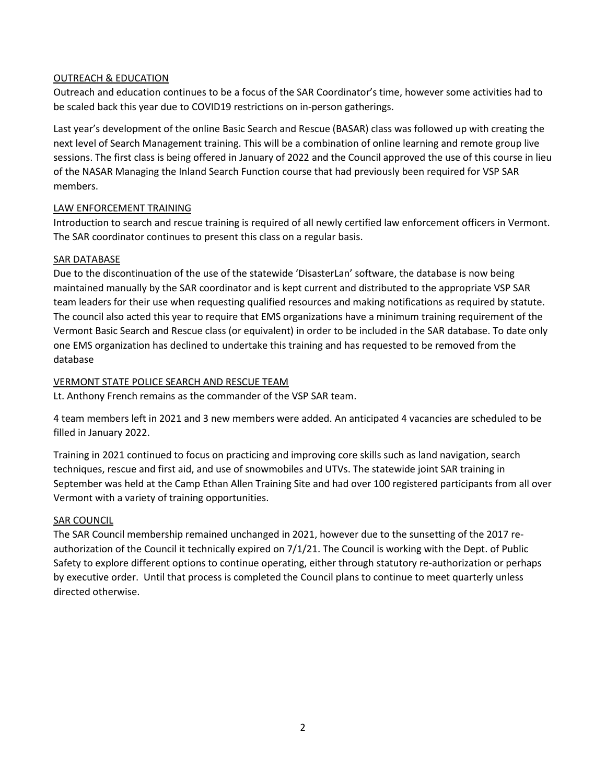### OUTREACH & EDUCATION

Outreach and education continues to be a focus of the SAR Coordinator's time, however some activities had to be scaled back this year due to COVID19 restrictions on in-person gatherings.

Last year's development of the online Basic Search and Rescue (BASAR) class was followed up with creating the next level of Search Management training. This will be a combination of online learning and remote group live sessions. The first class is being offered in January of 2022 and the Council approved the use of this course in lieu of the NASAR Managing the Inland Search Function course that had previously been required for VSP SAR members.

### LAW ENFORCEMENT TRAINING

Introduction to search and rescue training is required of all newly certified law enforcement officers in Vermont. The SAR coordinator continues to present this class on a regular basis.

### SAR DATABASE

Due to the discontinuation of the use of the statewide 'DisasterLan' software, the database is now being maintained manually by the SAR coordinator and is kept current and distributed to the appropriate VSP SAR team leaders for their use when requesting qualified resources and making notifications as required by statute. The council also acted this year to require that EMS organizations have a minimum training requirement of the Vermont Basic Search and Rescue class (or equivalent) in order to be included in the SAR database. To date only one EMS organization has declined to undertake this training and has requested to be removed from the database

### VERMONT STATE POLICE SEARCH AND RESCUE TEAM

Lt. Anthony French remains as the commander of the VSP SAR team.

4 team members left in 2021 and 3 new members were added. An anticipated 4 vacancies are scheduled to be filled in January 2022.

Training in 2021 continued to focus on practicing and improving core skills such as land navigation, search techniques, rescue and first aid, and use of snowmobiles and UTVs. The statewide joint SAR training in September was held at the Camp Ethan Allen Training Site and had over 100 registered participants from all over Vermont with a variety of training opportunities.

### SAR COUNCIL

The SAR Council membership remained unchanged in 2021, however due to the sunsetting of the 2017 reauthorization of the Council it technically expired on 7/1/21. The Council is working with the Dept. of Public Safety to explore different options to continue operating, either through statutory re-authorization or perhaps by executive order. Until that process is completed the Council plans to continue to meet quarterly unless directed otherwise.